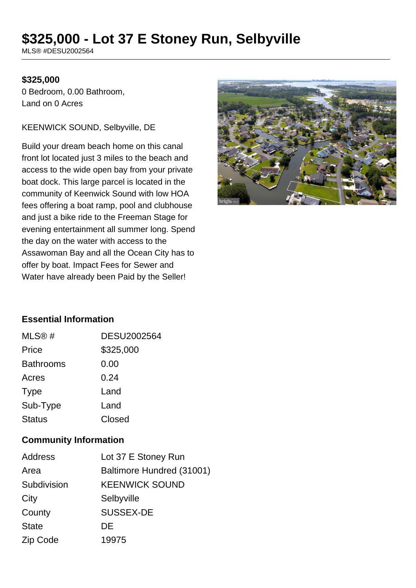# **\$325,000 - Lot 37 E Stoney Run, Selbyville**

MLS® #DESU2002564

#### **\$325,000**

0 Bedroom, 0.00 Bathroom, Land on 0 Acres

#### KEENWICK SOUND, Selbyville, DE

Build your dream beach home on this canal front lot located just 3 miles to the beach and access to the wide open bay from your private boat dock. This large parcel is located in the community of Keenwick Sound with low HOA fees offering a boat ramp, pool and clubhouse and just a bike ride to the Freeman Stage for evening entertainment all summer long. Spend the day on the water with access to the Assawoman Bay and all the Ocean City has to offer by boat. Impact Fees for Sewer and Water have already been Paid by the Seller!



#### **Essential Information**

| MLS@#            | <b>DESU2002564</b> |
|------------------|--------------------|
| Price            | \$325,000          |
| <b>Bathrooms</b> | 0.00               |
| Acres            | 0.24               |
| <b>Type</b>      | Land               |
| Sub-Type         | Land               |
| <b>Status</b>    | Closed             |

#### **Community Information**

| <b>Address</b> | Lot 37 E Stoney Run       |
|----------------|---------------------------|
| Area           | Baltimore Hundred (31001) |
| Subdivision    | <b>KEENWICK SOUND</b>     |
| City           | Selbyville                |
| County         | <b>SUSSEX-DE</b>          |
| <b>State</b>   | DE                        |
| Zip Code       | 19975                     |